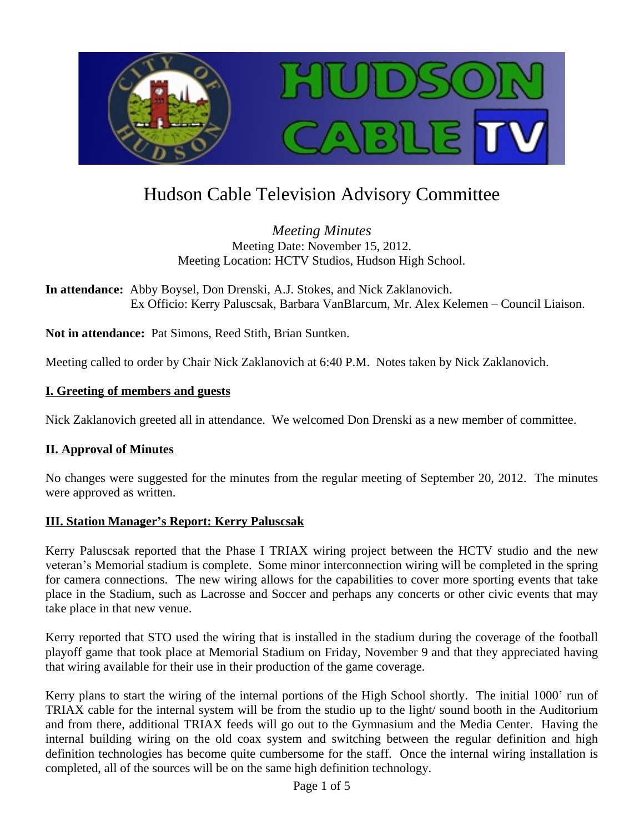

# Hudson Cable Television Advisory Committee

*Meeting Minutes* Meeting Date: November 15, 2012. Meeting Location: HCTV Studios, Hudson High School.

**In attendance:** Abby Boysel, Don Drenski, A.J. Stokes, and Nick Zaklanovich. Ex Officio: Kerry Paluscsak, Barbara VanBlarcum, Mr. Alex Kelemen – Council Liaison.

**Not in attendance:** Pat Simons, Reed Stith, Brian Suntken.

Meeting called to order by Chair Nick Zaklanovich at 6:40 P.M. Notes taken by Nick Zaklanovich.

#### **I. Greeting of members and guests**

Nick Zaklanovich greeted all in attendance. We welcomed Don Drenski as a new member of committee.

#### **II. Approval of Minutes**

No changes were suggested for the minutes from the regular meeting of September 20, 2012. The minutes were approved as written.

#### **III. Station Manager's Report: Kerry Paluscsak**

Kerry Paluscsak reported that the Phase I TRIAX wiring project between the HCTV studio and the new veteran's Memorial stadium is complete. Some minor interconnection wiring will be completed in the spring for camera connections. The new wiring allows for the capabilities to cover more sporting events that take place in the Stadium, such as Lacrosse and Soccer and perhaps any concerts or other civic events that may take place in that new venue.

Kerry reported that STO used the wiring that is installed in the stadium during the coverage of the football playoff game that took place at Memorial Stadium on Friday, November 9 and that they appreciated having that wiring available for their use in their production of the game coverage.

Kerry plans to start the wiring of the internal portions of the High School shortly. The initial 1000' run of TRIAX cable for the internal system will be from the studio up to the light/ sound booth in the Auditorium and from there, additional TRIAX feeds will go out to the Gymnasium and the Media Center. Having the internal building wiring on the old coax system and switching between the regular definition and high definition technologies has become quite cumbersome for the staff. Once the internal wiring installation is completed, all of the sources will be on the same high definition technology.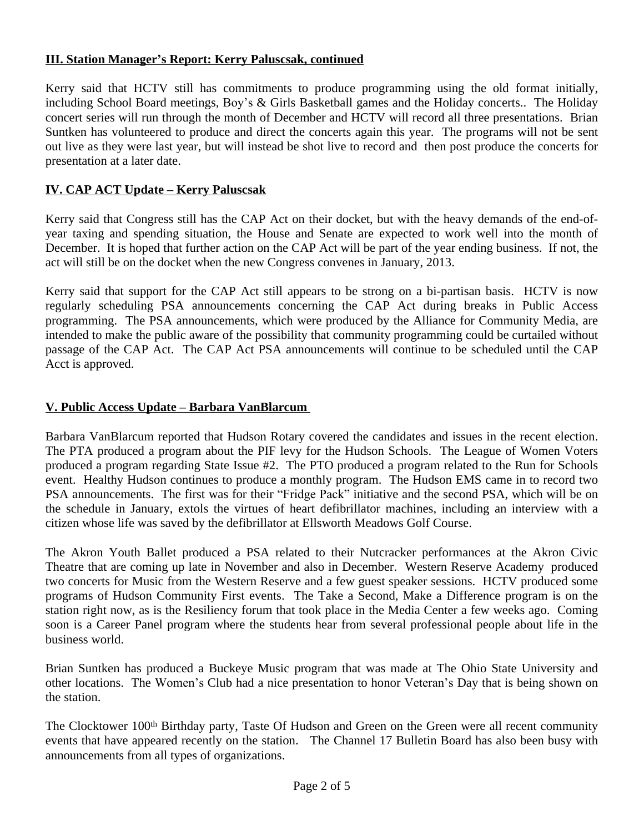## **III. Station Manager's Report: Kerry Paluscsak, continued**

Kerry said that HCTV still has commitments to produce programming using the old format initially, including School Board meetings, Boy's & Girls Basketball games and the Holiday concerts.. The Holiday concert series will run through the month of December and HCTV will record all three presentations. Brian Suntken has volunteered to produce and direct the concerts again this year. The programs will not be sent out live as they were last year, but will instead be shot live to record and then post produce the concerts for presentation at a later date.

# **IV. CAP ACT Update – Kerry Paluscsak**

Kerry said that Congress still has the CAP Act on their docket, but with the heavy demands of the end-ofyear taxing and spending situation, the House and Senate are expected to work well into the month of December. It is hoped that further action on the CAP Act will be part of the year ending business. If not, the act will still be on the docket when the new Congress convenes in January, 2013.

Kerry said that support for the CAP Act still appears to be strong on a bi-partisan basis. HCTV is now regularly scheduling PSA announcements concerning the CAP Act during breaks in Public Access programming. The PSA announcements, which were produced by the Alliance for Community Media, are intended to make the public aware of the possibility that community programming could be curtailed without passage of the CAP Act. The CAP Act PSA announcements will continue to be scheduled until the CAP Acct is approved.

### **V. Public Access Update – Barbara VanBlarcum**

Barbara VanBlarcum reported that Hudson Rotary covered the candidates and issues in the recent election. The PTA produced a program about the PIF levy for the Hudson Schools. The League of Women Voters produced a program regarding State Issue #2. The PTO produced a program related to the Run for Schools event. Healthy Hudson continues to produce a monthly program. The Hudson EMS came in to record two PSA announcements. The first was for their "Fridge Pack" initiative and the second PSA, which will be on the schedule in January, extols the virtues of heart defibrillator machines, including an interview with a citizen whose life was saved by the defibrillator at Ellsworth Meadows Golf Course.

The Akron Youth Ballet produced a PSA related to their Nutcracker performances at the Akron Civic Theatre that are coming up late in November and also in December. Western Reserve Academy produced two concerts for Music from the Western Reserve and a few guest speaker sessions. HCTV produced some programs of Hudson Community First events. The Take a Second, Make a Difference program is on the station right now, as is the Resiliency forum that took place in the Media Center a few weeks ago. Coming soon is a Career Panel program where the students hear from several professional people about life in the business world.

Brian Suntken has produced a Buckeye Music program that was made at The Ohio State University and other locations. The Women's Club had a nice presentation to honor Veteran's Day that is being shown on the station.

The Clocktower 100<sup>th</sup> Birthday party, Taste Of Hudson and Green on the Green were all recent community events that have appeared recently on the station. The Channel 17 Bulletin Board has also been busy with announcements from all types of organizations.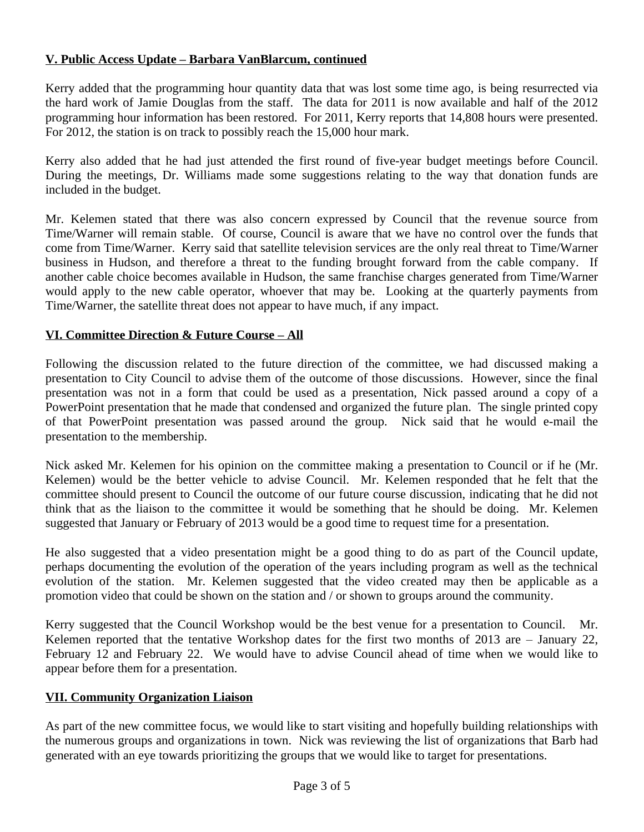## **V. Public Access Update – Barbara VanBlarcum, continued**

Kerry added that the programming hour quantity data that was lost some time ago, is being resurrected via the hard work of Jamie Douglas from the staff. The data for 2011 is now available and half of the 2012 programming hour information has been restored. For 2011, Kerry reports that 14,808 hours were presented. For 2012, the station is on track to possibly reach the 15,000 hour mark.

Kerry also added that he had just attended the first round of five-year budget meetings before Council. During the meetings, Dr. Williams made some suggestions relating to the way that donation funds are included in the budget.

Mr. Kelemen stated that there was also concern expressed by Council that the revenue source from Time/Warner will remain stable. Of course, Council is aware that we have no control over the funds that come from Time/Warner. Kerry said that satellite television services are the only real threat to Time/Warner business in Hudson, and therefore a threat to the funding brought forward from the cable company. If another cable choice becomes available in Hudson, the same franchise charges generated from Time/Warner would apply to the new cable operator, whoever that may be. Looking at the quarterly payments from Time/Warner, the satellite threat does not appear to have much, if any impact.

## **VI. Committee Direction & Future Course – All**

Following the discussion related to the future direction of the committee, we had discussed making a presentation to City Council to advise them of the outcome of those discussions. However, since the final presentation was not in a form that could be used as a presentation, Nick passed around a copy of a PowerPoint presentation that he made that condensed and organized the future plan. The single printed copy of that PowerPoint presentation was passed around the group. Nick said that he would e-mail the presentation to the membership.

Nick asked Mr. Kelemen for his opinion on the committee making a presentation to Council or if he (Mr. Kelemen) would be the better vehicle to advise Council. Mr. Kelemen responded that he felt that the committee should present to Council the outcome of our future course discussion, indicating that he did not think that as the liaison to the committee it would be something that he should be doing. Mr. Kelemen suggested that January or February of 2013 would be a good time to request time for a presentation.

He also suggested that a video presentation might be a good thing to do as part of the Council update, perhaps documenting the evolution of the operation of the years including program as well as the technical evolution of the station. Mr. Kelemen suggested that the video created may then be applicable as a promotion video that could be shown on the station and / or shown to groups around the community.

Kerry suggested that the Council Workshop would be the best venue for a presentation to Council. Mr. Kelemen reported that the tentative Workshop dates for the first two months of 2013 are – January 22, February 12 and February 22. We would have to advise Council ahead of time when we would like to appear before them for a presentation.

### **VII. Community Organization Liaison**

As part of the new committee focus, we would like to start visiting and hopefully building relationships with the numerous groups and organizations in town. Nick was reviewing the list of organizations that Barb had generated with an eye towards prioritizing the groups that we would like to target for presentations.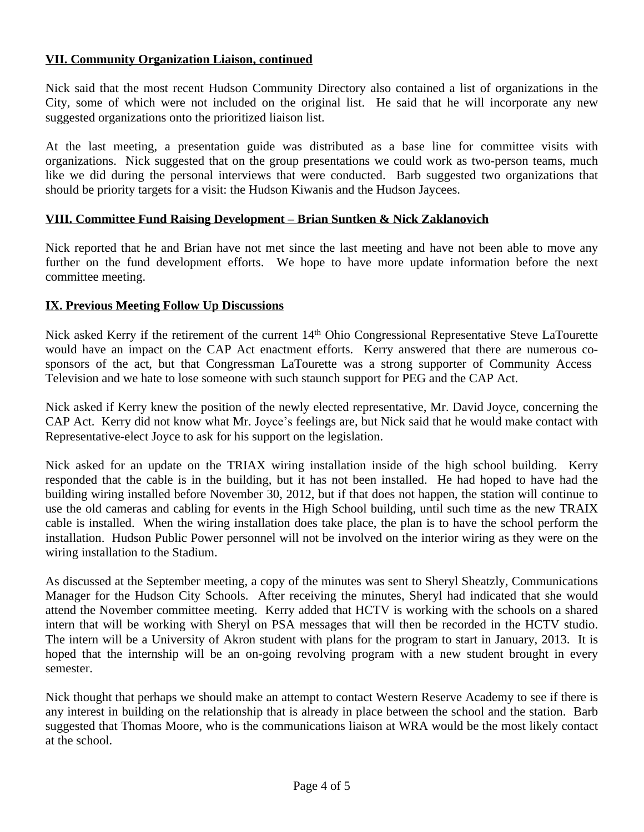#### **VII. Community Organization Liaison, continued**

Nick said that the most recent Hudson Community Directory also contained a list of organizations in the City, some of which were not included on the original list. He said that he will incorporate any new suggested organizations onto the prioritized liaison list.

At the last meeting, a presentation guide was distributed as a base line for committee visits with organizations. Nick suggested that on the group presentations we could work as two-person teams, much like we did during the personal interviews that were conducted. Barb suggested two organizations that should be priority targets for a visit: the Hudson Kiwanis and the Hudson Jaycees.

#### **VIII. Committee Fund Raising Development – Brian Suntken & Nick Zaklanovich**

Nick reported that he and Brian have not met since the last meeting and have not been able to move any further on the fund development efforts. We hope to have more update information before the next committee meeting.

#### **IX. Previous Meeting Follow Up Discussions**

Nick asked Kerry if the retirement of the current 14<sup>th</sup> Ohio Congressional Representative Steve LaTourette would have an impact on the CAP Act enactment efforts. Kerry answered that there are numerous cosponsors of the act, but that Congressman LaTourette was a strong supporter of Community Access Television and we hate to lose someone with such staunch support for PEG and the CAP Act.

Nick asked if Kerry knew the position of the newly elected representative, Mr. David Joyce, concerning the CAP Act. Kerry did not know what Mr. Joyce's feelings are, but Nick said that he would make contact with Representative-elect Joyce to ask for his support on the legislation.

Nick asked for an update on the TRIAX wiring installation inside of the high school building. Kerry responded that the cable is in the building, but it has not been installed. He had hoped to have had the building wiring installed before November 30, 2012, but if that does not happen, the station will continue to use the old cameras and cabling for events in the High School building, until such time as the new TRAIX cable is installed. When the wiring installation does take place, the plan is to have the school perform the installation. Hudson Public Power personnel will not be involved on the interior wiring as they were on the wiring installation to the Stadium.

As discussed at the September meeting, a copy of the minutes was sent to Sheryl Sheatzly, Communications Manager for the Hudson City Schools. After receiving the minutes, Sheryl had indicated that she would attend the November committee meeting. Kerry added that HCTV is working with the schools on a shared intern that will be working with Sheryl on PSA messages that will then be recorded in the HCTV studio. The intern will be a University of Akron student with plans for the program to start in January, 2013. It is hoped that the internship will be an on-going revolving program with a new student brought in every semester.

Nick thought that perhaps we should make an attempt to contact Western Reserve Academy to see if there is any interest in building on the relationship that is already in place between the school and the station. Barb suggested that Thomas Moore, who is the communications liaison at WRA would be the most likely contact at the school.